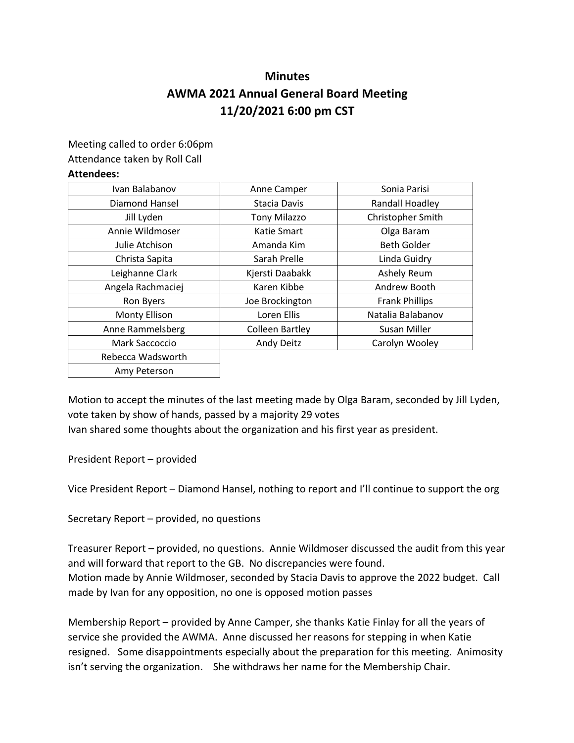# **Minutes AWMA 2021 Annual General Board Meeting 11/20/2021 6:00 pm CST**

#### Meeting called to order 6:06pm

#### Attendance taken by Roll Call

#### **Attendees:**

| Ivan Balabanov    | Anne Camper            | Sonia Parisi          |
|-------------------|------------------------|-----------------------|
| Diamond Hansel    | Stacia Davis           | Randall Hoadley       |
| Jill Lyden        | <b>Tony Milazzo</b>    | Christopher Smith     |
| Annie Wildmoser   | Katie Smart            | Olga Baram            |
| Julie Atchison    | Amanda Kim             | Beth Golder           |
| Christa Sapita    | Sarah Prelle           | Linda Guidry          |
| Leighanne Clark   | Kjersti Daabakk        | Ashely Reum           |
| Angela Rachmaciej | Karen Kibbe            | Andrew Booth          |
| Ron Byers         | Joe Brockington        | <b>Frank Phillips</b> |
| Monty Ellison     | Loren Ellis            | Natalia Balabanov     |
| Anne Rammelsberg  | <b>Colleen Bartley</b> | Susan Miller          |
| Mark Saccoccio    | Andy Deitz             | Carolyn Wooley        |
| Rebecca Wadsworth |                        |                       |
| Amy Peterson      |                        |                       |

Motion to accept the minutes of the last meeting made by Olga Baram, seconded by Jill Lyden, vote taken by show of hands, passed by a majority 29 votes

Ivan shared some thoughts about the organization and his first year as president.

President Report – provided

Vice President Report – Diamond Hansel, nothing to report and I'll continue to support the org

Secretary Report – provided, no questions

Treasurer Report – provided, no questions. Annie Wildmoser discussed the audit from this year and will forward that report to the GB. No discrepancies were found. Motion made by Annie Wildmoser, seconded by Stacia Davis to approve the 2022 budget. Call made by Ivan for any opposition, no one is opposed motion passes

Membership Report – provided by Anne Camper, she thanks Katie Finlay for all the years of service she provided the AWMA. Anne discussed her reasons for stepping in when Katie resigned. Some disappointments especially about the preparation for this meeting. Animosity isn't serving the organization. She withdraws her name for the Membership Chair.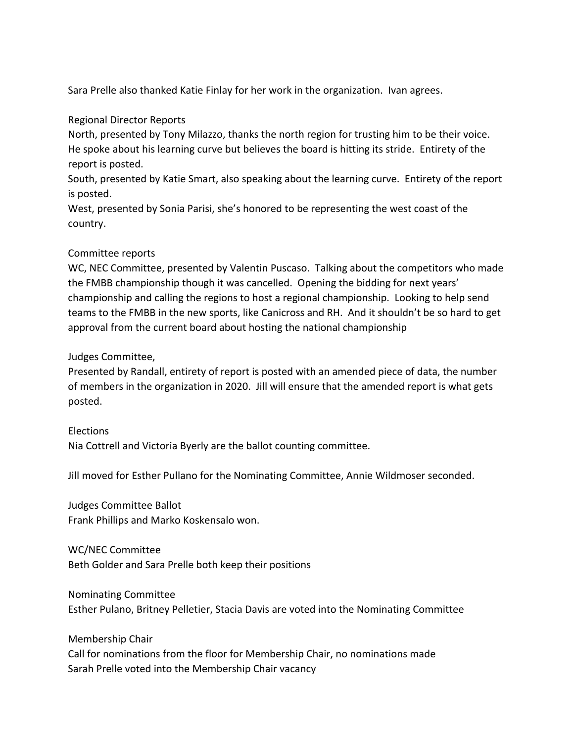Sara Prelle also thanked Katie Finlay for her work in the organization. Ivan agrees.

## Regional Director Reports

North, presented by Tony Milazzo, thanks the north region for trusting him to be their voice. He spoke about his learning curve but believes the board is hitting its stride. Entirety of the report is posted.

South, presented by Katie Smart, also speaking about the learning curve. Entirety of the report is posted.

West, presented by Sonia Parisi, she's honored to be representing the west coast of the country.

## Committee reports

WC, NEC Committee, presented by Valentin Puscaso. Talking about the competitors who made the FMBB championship though it was cancelled. Opening the bidding for next years' championship and calling the regions to host a regional championship. Looking to help send teams to the FMBB in the new sports, like Canicross and RH. And it shouldn't be so hard to get approval from the current board about hosting the national championship

## Judges Committee,

Presented by Randall, entirety of report is posted with an amended piece of data, the number of members in the organization in 2020. Jill will ensure that the amended report is what gets posted.

#### Elections

Nia Cottrell and Victoria Byerly are the ballot counting committee.

Jill moved for Esther Pullano for the Nominating Committee, Annie Wildmoser seconded.

Judges Committee Ballot Frank Phillips and Marko Koskensalo won.

WC/NEC Committee Beth Golder and Sara Prelle both keep their positions

Nominating Committee Esther Pulano, Britney Pelletier, Stacia Davis are voted into the Nominating Committee

Membership Chair Call for nominations from the floor for Membership Chair, no nominations made Sarah Prelle voted into the Membership Chair vacancy